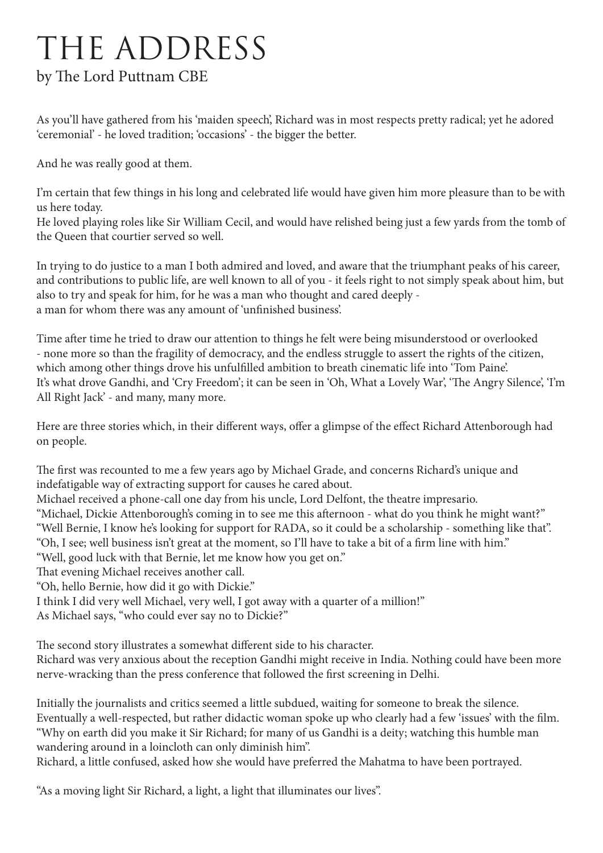## THE ADDRESS

## by The Lord Puttnam CBE

As you'll have gathered from his 'maiden speech', Richard was in most respects pretty radical; yet he adored 'ceremonial' - he loved tradition; 'occasions' - the bigger the better.

And he was really good at them.

I'm certain that few things in his long and celebrated life would have given him more pleasure than to be with us here today.

He loved playing roles like Sir William Cecil, and would have relished being just a few yards from the tomb of the Queen that courtier served so well.

In trying to do justice to a man I both admired and loved, and aware that the triumphant peaks of his career, and contributions to public life, are well known to all of you - it feels right to not simply speak about him, but also to try and speak for him, for he was a man who thought and cared deeply a man for whom there was any amount of 'unfinished business'.

Time after time he tried to draw our attention to things he felt were being misunderstood or overlooked - none more so than the fragility of democracy, and the endless struggle to assert the rights of the citizen, which among other things drove his unfulfilled ambition to breath cinematic life into 'Tom Paine'. It's what drove Gandhi, and 'Cry Freedom'; it can be seen in 'Oh, What a Lovely War', 'The Angry Silence', 'I'm All Right Jack' - and many, many more.

Here are three stories which, in their different ways, offer a glimpse of the effect Richard Attenborough had on people.

The first was recounted to me a few years ago by Michael Grade, and concerns Richard's unique and indefatigable way of extracting support for causes he cared about.

Michael received a phone-call one day from his uncle, Lord Delfont, the theatre impresario.

"Michael, Dickie Attenborough's coming in to see me this afternoon - what do you think he might want?" "Well Bernie, I know he's looking for support for RADA, so it could be a scholarship - something like that".

"Oh, I see; well business isn't great at the moment, so I'll have to take a bit of a firm line with him."

"Well, good luck with that Bernie, let me know how you get on."

That evening Michael receives another call.

"Oh, hello Bernie, how did it go with Dickie."

I think I did very well Michael, very well, I got away with a quarter of a million!" As Michael says, "who could ever say no to Dickie?"

The second story illustrates a somewhat different side to his character.

Richard was very anxious about the reception Gandhi might receive in India. Nothing could have been more nerve-wracking than the press conference that followed the first screening in Delhi.

Initially the journalists and critics seemed a little subdued, waiting for someone to break the silence. Eventually a well-respected, but rather didactic woman spoke up who clearly had a few 'issues' with the film. "Why on earth did you make it Sir Richard; for many of us Gandhi is a deity; watching this humble man wandering around in a loincloth can only diminish him".

Richard, a little confused, asked how she would have preferred the Mahatma to have been portrayed.

"As a moving light Sir Richard, a light, a light that illuminates our lives".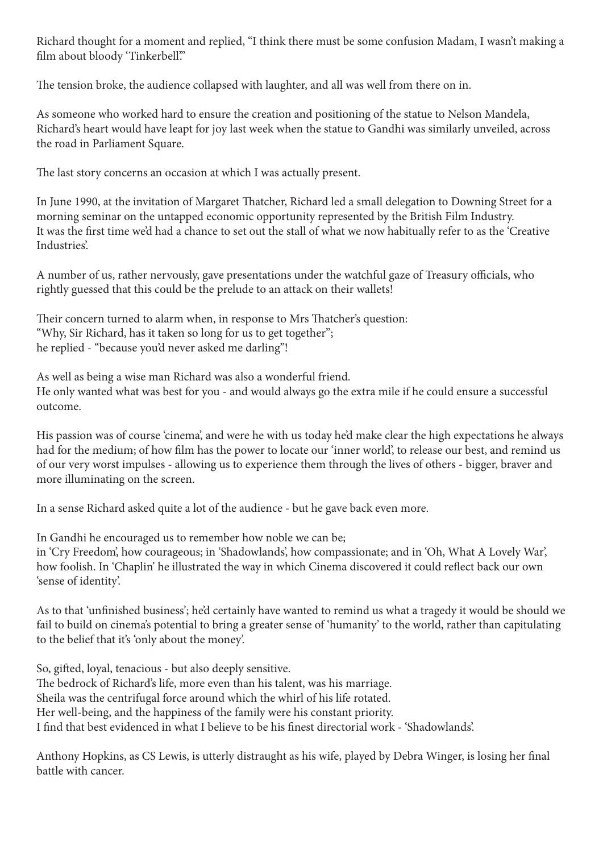Richard thought for a moment and replied, "I think there must be some confusion Madam, I wasn't making a film about bloody 'Tinkerbell'."

The tension broke, the audience collapsed with laughter, and all was well from there on in.

As someone who worked hard to ensure the creation and positioning of the statue to Nelson Mandela, Richard's heart would have leapt for joy last week when the statue to Gandhi was similarly unveiled, across the road in Parliament Square.

The last story concerns an occasion at which I was actually present.

In June 1990, at the invitation of Margaret Thatcher, Richard led a small delegation to Downing Street for a morning seminar on the untapped economic opportunity represented by the British Film Industry. It was the first time we'd had a chance to set out the stall of what we now habitually refer to as the 'Creative Industries'.

A number of us, rather nervously, gave presentations under the watchful gaze of Treasury officials, who rightly guessed that this could be the prelude to an attack on their wallets!

Their concern turned to alarm when, in response to Mrs Thatcher's question: "Why, Sir Richard, has it taken so long for us to get together"; he replied - "because you'd never asked me darling"!

As well as being a wise man Richard was also a wonderful friend. He only wanted what was best for you - and would always go the extra mile if he could ensure a successful outcome.

His passion was of course 'cinema', and were he with us today he'd make clear the high expectations he always had for the medium; of how film has the power to locate our 'inner world', to release our best, and remind us of our very worst impulses - allowing us to experience them through the lives of others - bigger, braver and more illuminating on the screen.

In a sense Richard asked quite a lot of the audience - but he gave back even more.

In Gandhi he encouraged us to remember how noble we can be; in 'Cry Freedom', how courageous; in 'Shadowlands', how compassionate; and in 'Oh, What A Lovely War', how foolish. In 'Chaplin' he illustrated the way in which Cinema discovered it could reflect back our own 'sense of identity'.

As to that 'unfinished business'; he'd certainly have wanted to remind us what a tragedy it would be should we fail to build on cinema's potential to bring a greater sense of 'humanity' to the world, rather than capitulating to the belief that it's 'only about the money'.

So, gifted, loyal, tenacious - but also deeply sensitive. The bedrock of Richard's life, more even than his talent, was his marriage. Sheila was the centrifugal force around which the whirl of his life rotated. Her well-being, and the happiness of the family were his constant priority. I find that best evidenced in what I believe to be his finest directorial work - 'Shadowlands'.

Anthony Hopkins, as CS Lewis, is utterly distraught as his wife, played by Debra Winger, is losing her final battle with cancer.